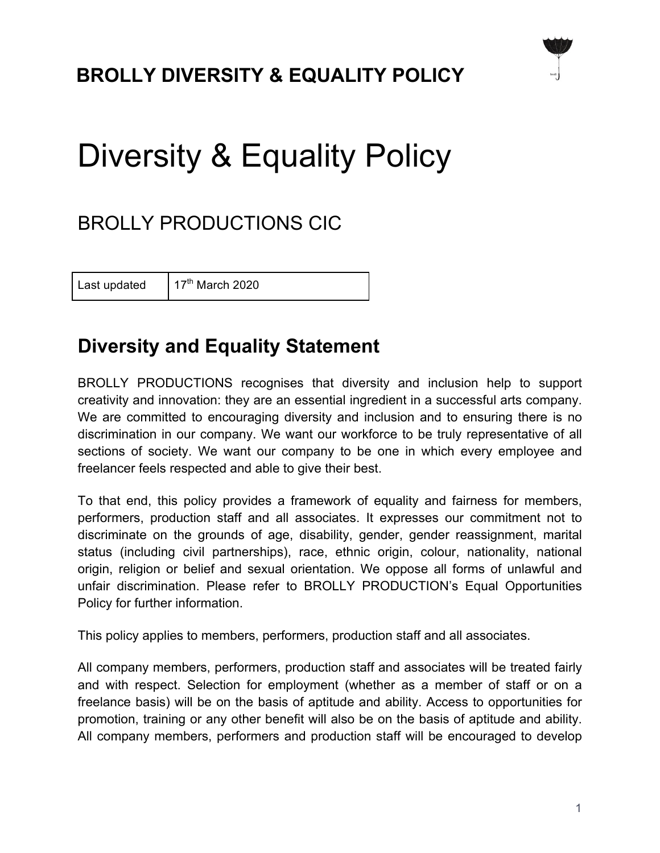## **BROLLY DIVERSITY & EQUALITY POLICY**

# Diversity & Equality Policy

### BROLLY PRODUCTIONS CIC

Last updated  $17<sup>th</sup>$  March 2020

#### **Diversity and Equality Statement**

BROLLY PRODUCTIONS recognises that diversity and inclusion help to support creativity and innovation: they are an essential ingredient in a successful arts company. We are committed to encouraging diversity and inclusion and to ensuring there is no discrimination in our company. We want our workforce to be truly representative of all sections of society. We want our company to be one in which every employee and freelancer feels respected and able to give their best.

To that end, this policy provides a framework of equality and fairness for members, performers, production staff and all associates. It expresses our commitment not to discriminate on the grounds of age, disability, gender, gender reassignment, marital status (including civil partnerships), race, ethnic origin, colour, nationality, national origin, religion or belief and sexual orientation. We oppose all forms of unlawful and unfair discrimination. Please refer to BROLLY PRODUCTION's Equal Opportunities Policy for further information.

This policy applies to members, performers, production staff and all associates.

All company members, performers, production staff and associates will be treated fairly and with respect. Selection for employment (whether as a member of staff or on a freelance basis) will be on the basis of aptitude and ability. Access to opportunities for promotion, training or any other benefit will also be on the basis of aptitude and ability. All company members, performers and production staff will be encouraged to develop